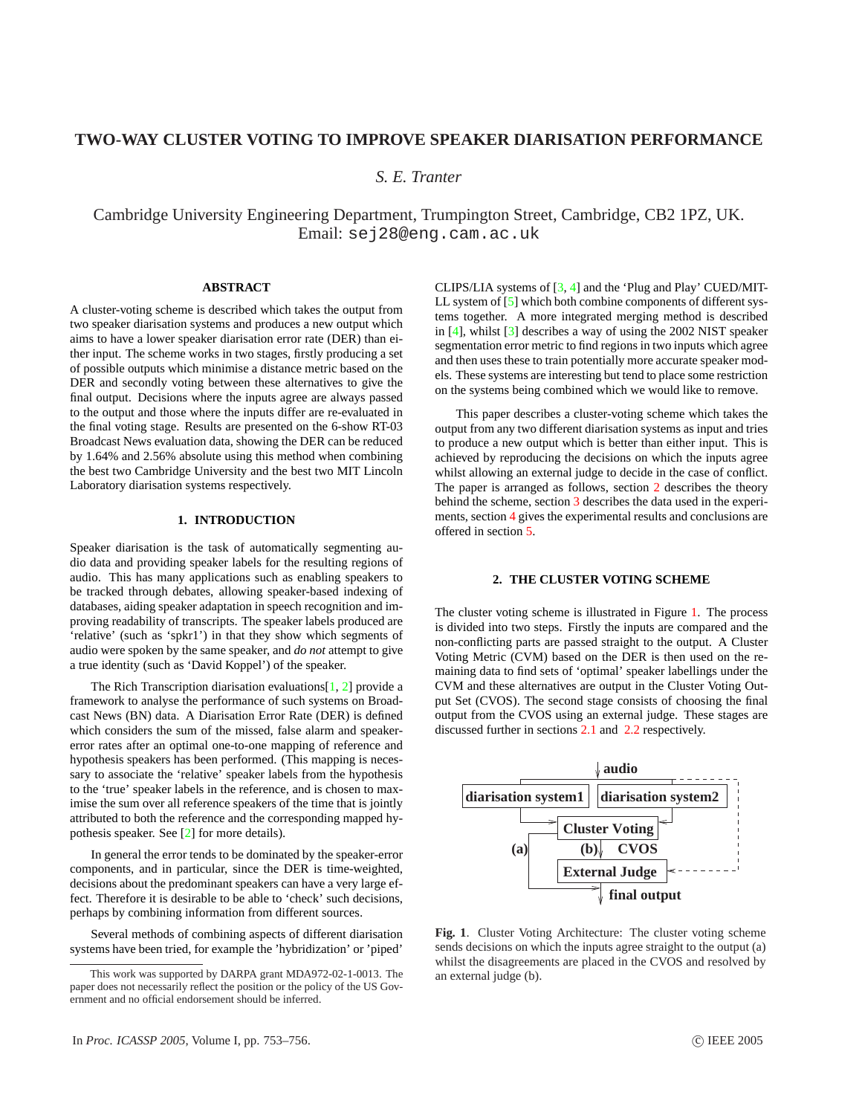# **TWO-WAY CLUSTER VOTING TO IMPROVE SPEAKER DIARISATION PERFORMANCE**

*S. E. Tranter*

Cambridge University Engineering Department, Trumpington Street, Cambridge, CB2 1PZ, UK. Email: sej28@eng.cam.ac.uk

# **ABSTRACT**

A cluster-voting scheme is described which takes the output from two speaker diarisation systems and produces a new output which aims to have a lower speaker diarisation error rate (DER) than either input. The scheme works in two stages, firstly producing a set of possible outputs which minimise a distance metric based on the DER and secondly voting between these alternatives to give the final output. Decisions where the inputs agree are always passed to the output and those where the inputs differ are re-evaluated in the final voting stage. Results are presented on the 6-show RT-03 Broadcast News evaluation data, showing the DER can be reduced by 1.64% and 2.56% absolute using this method when combining the best two Cambridge University and the best two MIT Lincoln Laboratory diarisation systems respectively.

# **1. INTRODUCTION**

Speaker diarisation is the task of automatically segmenting audio data and providing speaker labels for the resulting regions of audio. This has many applications such as enabling speakers to be tracked through debates, allowing speaker-based indexing of databases, aiding speaker adaptation in speech recognition and improving readability of transcripts. The speaker labels produced are 'relative' (such as 'spkr1') in that they show which segments of audio were spoken by the same speaker, and *do not* attempt to give a true identity (such as 'David Koppel') of the speaker.

The Rich Transcription diarisation evaluations $[1, 2]$  $[1, 2]$  $[1, 2]$  provide a framework to analyse the performance of such systems on Broadcast News (BN) data. A Diarisation Error Rate (DER) is defined which considers the sum of the missed, false alarm and speakererror rates after an optimal one-to-one mapping of reference and hypothesis speakers has been performed. (This mapping is necessary to associate the 'relative' speaker labels from the hypothesis to the 'true' speaker labels in the reference, and is chosen to maximise the sum over all reference speakers of the time that is jointly attributed to both the reference and the corresponding mapped hypothesis speaker. See [\[2\]](#page-3-0) for more details).

In general the error tends to be dominated by the speaker-error components, and in particular, since the DER is time-weighted, decisions about the predominant speakers can have a very large effect. Therefore it is desirable to be able to 'check' such decisions, perhaps by combining information from different sources.

Several methods of combining aspects of different diarisation systems have been tried, for example the 'hybridization' or 'piped'

CLIPS/LIA systems of [\[3,](#page-3-0) [4\]](#page-3-0) and the 'Plug and Play' CUED/MIT-LL system of [\[5\]](#page-3-0) which both combine components of different systems together. A more integrated merging method is described in [\[4\]](#page-3-0), whilst [\[3\]](#page-3-0) describes a way of using the 2002 NIST speaker segmentation error metric to find regions in two inputs which agree and then uses these to train potentially more accurate speaker models. These systems are interesting but tend to place some restriction on the systems being combined which we would like to remove.

This paper describes a cluster-voting scheme which takes the output from any two different diarisation systems as input and tries to produce a new output which is better than either input. This is achieved by reproducing the decisions on which the inputs agree whilst allowing an external judge to decide in the case of conflict. The paper is arranged as follows, section 2 describes the theory behind the scheme, section [3](#page-2-0) describes the data used in the experiments, section [4](#page-2-0) gives the experimental results and conclusions are offered in section [5.](#page-3-0)

## **2. THE CLUSTER VOTING SCHEME**

The cluster voting scheme is illustrated in Figure 1. The process is divided into two steps. Firstly the inputs are compared and the non-conflicting parts are passed straight to the output. A Cluster Voting Metric (CVM) based on the DER is then used on the remaining data to find sets of 'optimal' speaker labellings under the CVM and these alternatives are output in the Cluster Voting Output Set (CVOS). The second stage consists of choosing the final output from the CVOS using an external judge. These stages are discussed further in sections [2.1](#page-1-0) and [2.2](#page-2-0) respectively.



**Fig. 1**. Cluster Voting Architecture: The cluster voting scheme sends decisions on which the inputs agree straight to the output (a) whilst the disagreements are placed in the CVOS and resolved by an external judge (b).

This work was supported by DARPA grant MDA972-02-1-0013. The paper does not necessarily reflect the position or the policy of the US Government and no official endorsement should be inferred.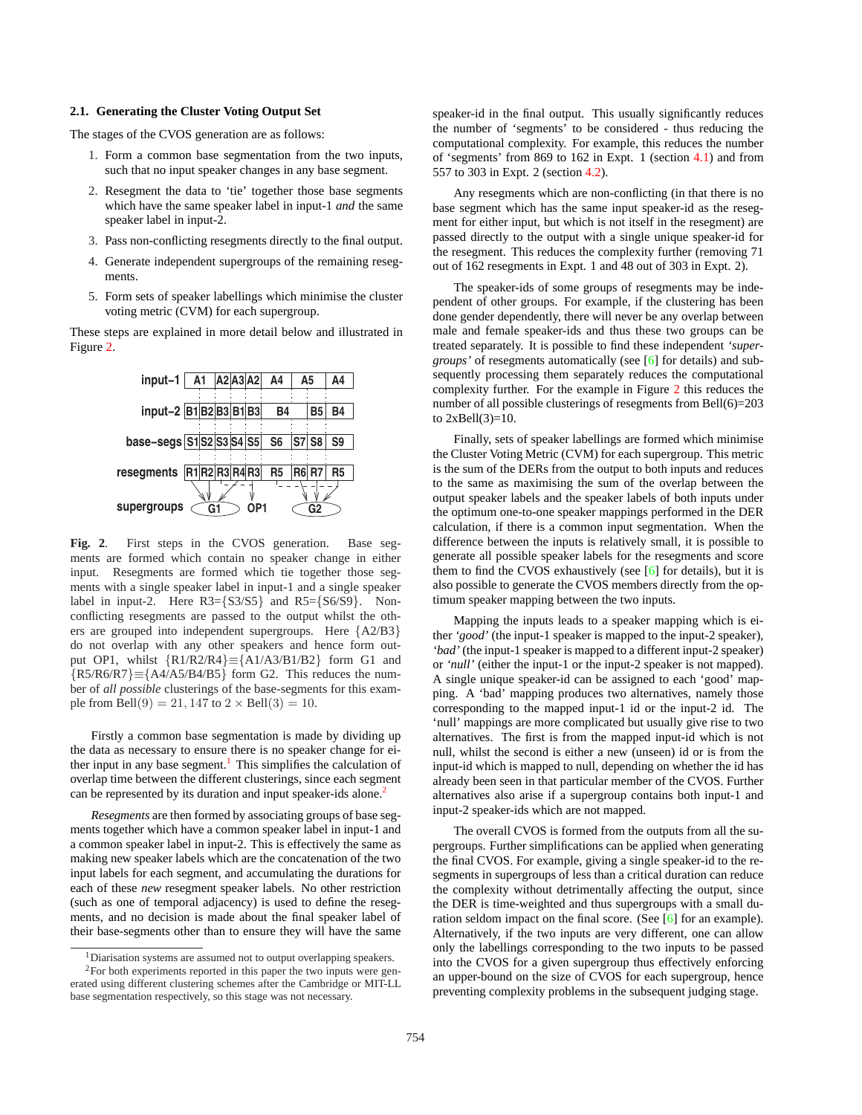#### <span id="page-1-0"></span>**2.1. Generating the Cluster Voting Output Set**

The stages of the CVOS generation are as follows:

- 1. Form a common base segmentation from the two inputs, such that no input speaker changes in any base segment.
- 2. Resegment the data to 'tie' together those base segments which have the same speaker label in input-1 *and* the same speaker label in input-2.
- 3. Pass non-conflicting resegments directly to the final output.
- 4. Generate independent supergroups of the remaining resegments.
- 5. Form sets of speaker labellings which minimise the cluster voting metric (CVM) for each supergroup.

These steps are explained in more detail below and illustrated in Figure 2.



**Fig. 2**. First steps in the CVOS generation. Base segments are formed which contain no speaker change in either input. Resegments are formed which tie together those segments with a single speaker label in input-1 and a single speaker label in input-2. Here  $R3 = \{S3/S5\}$  and  $R5 = \{S6/S9\}$ . Nonconflicting resegments are passed to the output whilst the others are grouped into independent supergroups. Here {A2/B3} do not overlap with any other speakers and hence form output OP1, whilst {R1/R2/R4}≡{A1/A3/B1/B2} form G1 and  ${R5/R6/R7} \equiv {A4/A5/B4/B5}$  form G2. This reduces the number of *all possible* clusterings of the base-segments for this example from Bell $(9) = 21, 147$  to  $2 \times$  Bell $(3) = 10$ .

Firstly a common base segmentation is made by dividing up the data as necessary to ensure there is no speaker change for either input in any base segment.<sup>1</sup> This simplifies the calculation of overlap time between the different clusterings, since each segment can be represented by its duration and input speaker-ids alone.<sup>2</sup>

*Resegments* are then formed by associating groups of base segments together which have a common speaker label in input-1 and a common speaker label in input-2. This is effectively the same as making new speaker labels which are the concatenation of the two input labels for each segment, and accumulating the durations for each of these *new* resegment speaker labels. No other restriction (such as one of temporal adjacency) is used to define the resegments, and no decision is made about the final speaker label of their base-segments other than to ensure they will have the same

speaker-id in the final output. This usually significantly reduces the number of 'segments' to be considered - thus reducing the computational complexity. For example, this reduces the number of 'segments' from 869 to 162 in Expt. 1 (section [4.1\)](#page-2-0) and from 557 to 303 in Expt. 2 (section [4.2\)](#page-3-0).

Any resegments which are non-conflicting (in that there is no base segment which has the same input speaker-id as the resegment for either input, but which is not itself in the resegment) are passed directly to the output with a single unique speaker-id for the resegment. This reduces the complexity further (removing 71 out of 162 resegments in Expt. 1 and 48 out of 303 in Expt. 2).

The speaker-ids of some groups of resegments may be independent of other groups. For example, if the clustering has been done gender dependently, there will never be any overlap between male and female speaker-ids and thus these two groups can be treated separately. It is possible to find these independent *'supergroups'* of resegments automatically (see [[6\]](#page-3-0) for details) and subsequently processing them separately reduces the computational complexity further. For the example in Figure 2 this reduces the number of all possible clusterings of resegments from Bell(6)=203 to  $2xBell(3)=10$ .

Finally, sets of speaker labellings are formed which minimise the Cluster Voting Metric (CVM) for each supergroup. This metric is the sum of the DERs from the output to both inputs and reduces to the same as maximising the sum of the overlap between the output speaker labels and the speaker labels of both inputs under the optimum one-to-one speaker mappings performed in the DER calculation, if there is a common input segmentation. When the difference between the inputs is relatively small, it is possible to generate all possible speaker labels for the resegments and score them to find the CVOS exhaustively (see [[6\]](#page-3-0) for details), but it is also possible to generate the CVOS members directly from the optimum speaker mapping between the two inputs.

Mapping the inputs leads to a speaker mapping which is either *'good'* (the input-1 speaker is mapped to the input-2 speaker), *'bad'* (the input-1 speaker is mapped to a different input-2 speaker) or *'null'* (either the input-1 or the input-2 speaker is not mapped). A single unique speaker-id can be assigned to each 'good' mapping. A 'bad' mapping produces two alternatives, namely those corresponding to the mapped input-1 id or the input-2 id. The 'null' mappings are more complicated but usually give rise to two alternatives. The first is from the mapped input-id which is not null, whilst the second is either a new (unseen) id or is from the input-id which is mapped to null, depending on whether the id has already been seen in that particular member of the CVOS. Further alternatives also arise if a supergroup contains both input-1 and input-2 speaker-ids which are not mapped.

The overall CVOS is formed from the outputs from all the supergroups. Further simplifications can be applied when generating the final CVOS. For example, giving a single speaker-id to the resegments in supergroups of less than a critical duration can reduce the complexity without detrimentally affecting the output, since the DER is time-weighted and thus supergroups with a small duration seldom impact on the final score. (See [[6\]](#page-3-0) for an example). Alternatively, if the two inputs are very different, one can allow only the labellings corresponding to the two inputs to be passed into the CVOS for a given supergroup thus effectively enforcing an upper-bound on the size of CVOS for each supergroup, hence preventing complexity problems in the subsequent judging stage.

<sup>1</sup>Diarisation systems are assumed not to output overlapping speakers.

<sup>&</sup>lt;sup>2</sup>For both experiments reported in this paper the two inputs were generated using different clustering schemes after the Cambridge or MIT-LL base segmentation respectively, so this stage was not necessary.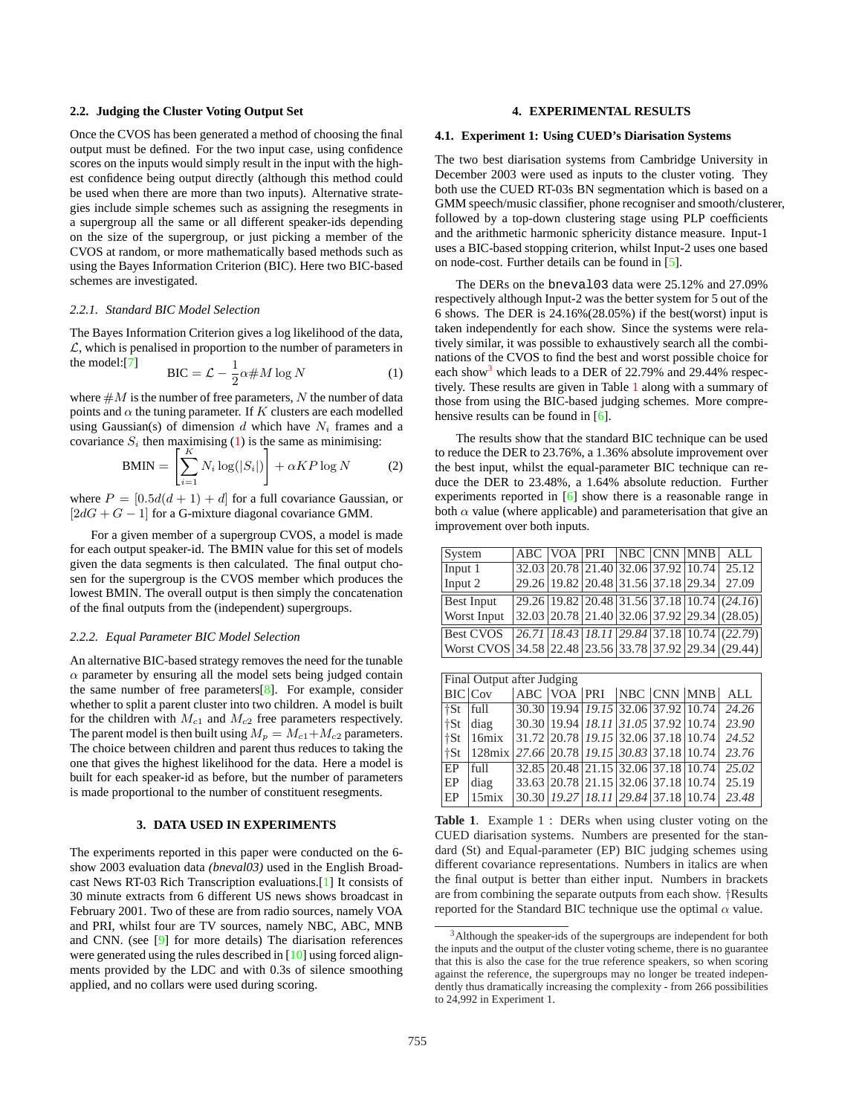#### <span id="page-2-0"></span>**2.2. Judging the Cluster Voting Output Set**

Once the CVOS has been generated a method of choosing the final output must be defined. For the two input case, using confidence scores on the inputs would simply result in the input with the highest confidence being output directly (although this method could be used when there are more than two inputs). Alternative strategies include simple schemes such as assigning the resegments in a supergroup all the same or all different speaker-ids depending on the size of the supergroup, or just picking a member of the CVOS at random, or more mathematically based methods such as using the Bayes Information Criterion (BIC). Here two BIC-based schemes are investigated.

#### *2.2.1. Standard BIC Model Selection*

The Bayes Information Criterion gives a log likelihood of the data,  $\mathcal{L}$ , which is penalised in proportion to the number of parameters in the model:[\[7\]](#page-3-0)

$$
BIC = \mathcal{L} - \frac{1}{2}\alpha \# M \log N \tag{1}
$$

where  $\#M$  is the number of free parameters, N the number of data points and  $\alpha$  the tuning parameter. If K clusters are each modelled using Gaussian(s) of dimension d which have  $N_i$  frames and a covariance  $S_i$  then maximising (1) is the same as minimising:<br> $BMIN = \begin{bmatrix} K & N \ \end{bmatrix} \begin{bmatrix} S & N \end{bmatrix} + \alpha KP \log N$ 

$$
BMIN = \left[ \sum_{i=1}^{N} N_i \log(|S_i|) \right] + \alpha KP \log N \tag{2}
$$

where  $P = [0.5d(d+1) + d]$  for a full covariance Gaussian, or  $[2dG + G - 1]$  for a G-mixture diagonal covariance GMM.

For a given member of a supergroup CVOS, a model is made for each output speaker-id. The BMIN value for this set of models given the data segments is then calculated. The final output chosen for the supergroup is the CVOS member which produces the lowest BMIN. The overall output is then simply the concatenation of the final outputs from the (independent) supergroups.

#### *2.2.2. Equal Parameter BIC Model Selection*

An alternative BIC-based strategy removes the need for the tunable  $\alpha$  parameter by ensuring all the model sets being judged contain the same number of free parameters $[8]$ . For example, consider whether to split a parent cluster into two children. A model is built for the children with  $M_{c1}$  and  $M_{c2}$  free parameters respectively. The parent model is then built using  $M_p = M_{c1} + M_{c2}$  parameters. The choice between children and parent thus reduces to taking the one that gives the highest likelihood for the data. Here a model is built for each speaker-id as before, but the number of parameters is made proportional to the number of constituent resegments.

## **3. DATA USED IN EXPERIMENTS**

The experiments reported in this paper were conducted on the 6 show 2003 evaluation data *(bneval03)* used in the English Broadcast News RT-03 Rich Transcription evaluations.[\[1\]](#page-3-0) It consists of 30 minute extracts from 6 different US news shows broadcast in February 2001. Two of these are from radio sources, namely VOA and PRI, whilst four are TV sources, namely NBC, ABC, MNB and CNN. (see [\[9\]](#page-3-0) for more details) The diarisation references were generated using the rules described in [\[10\]](#page-3-0) using forced alignments provided by the LDC and with 0.3s of silence smoothing applied, and no collars were used during scoring.

### **4. EXPERIMENTAL RESULTS**

### **4.1. Experiment 1: Using CUED's Diarisation Systems**

The two best diarisation systems from Cambridge University in December 2003 were used as inputs to the cluster voting. They both use the CUED RT-03s BN segmentation which is based on a GMM speech/music classifier, phone recogniser and smooth/clusterer, followed by a top-down clustering stage using PLP coefficients and the arithmetic harmonic sphericity distance measure. Input-1 uses a BIC-based stopping criterion, whilst Input-2 uses one based on node-cost. Further details can be found in [\[5\]](#page-3-0).

The DERs on the bneval03 data were 25.12% and 27.09% respectively although Input-2 was the better system for 5 out of the 6 shows. The DER is 24.16%(28.05%) if the best(worst) input is taken independently for each show. Since the systems were relatively similar, it was possible to exhaustively search all the combinations of the CVOS to find the best and worst possible choice for each show<sup>3</sup> which leads to a DER of 22.79% and 29.44% respectively. These results are given in Table 1 along with a summary of those from using the BIC-based judging schemes. More compre-hensive results can be found in [\[6\]](#page-3-0).

The results show that the standard BIC technique can be used to reduce the DER to 23.76%, a 1.36% absolute improvement over the best input, whilst the equal-parameter BIC technique can reduce the DER to 23.48%, a 1.64% absolute reduction. Further experiments reported in [\[6\]](#page-3-0) show there is a reasonable range in both  $\alpha$  value (where applicable) and parameterisation that give an improvement over both inputs.

| System                                                               |                                     |  |  | ABC VOA PRI NBC CNN MNB ALL                                                                                                                        |
|----------------------------------------------------------------------|-------------------------------------|--|--|----------------------------------------------------------------------------------------------------------------------------------------------------|
| Input 1                                                              | 32.03 20.78 21.40 32.06 37.92 10.74 |  |  | 25.12                                                                                                                                              |
| Input 2                                                              | 29.26 19.82 20.48 31.56 37.18 29.34 |  |  | 27.09                                                                                                                                              |
| <b>Best Input</b>                                                    |                                     |  |  | $\left[29.26\right]$ $\left[19.82\right]$ $\left[20.48\right]$ $\left[31.56\right]$ $\left[37.18\right]$ $\left[10.74\right]$ $\left(24.16\right)$ |
| <b>Worst Input</b>                                                   |                                     |  |  | $ 32.03 20.78 21.40 32.06 37.92 29.34 (28.05) $                                                                                                    |
| <b>Best CVOS</b>                                                     |                                     |  |  | $\left[26.71\right]$ $\left[18.43\right]$ $\left[18.11\right]$ $\left[29.84\right]$ $\left[37.18\right]$ $\left[10.74\right]$ $\left(22.79\right)$ |
| Worst CVOS   34.58   22.48   23.56   33.78   37.92   29.34   (29.44) |                                     |  |  |                                                                                                                                                    |

| Final Output after Judging       |                                                                        |  |  |  |  |  |                                                 |                    |
|----------------------------------|------------------------------------------------------------------------|--|--|--|--|--|-------------------------------------------------|--------------------|
|                                  | <b>BIC</b> Cov                                                         |  |  |  |  |  | <b>ABC VOA PRI NBC CNN MNB</b>                  | ALL                |
| $\parallel$ †St $\parallel$ full |                                                                        |  |  |  |  |  | $30.30$ 19.94 19.15 32.06 37.92 10.74           | $\sqrt{24.26}$     |
| $ \dagger$ St                    | diag                                                                   |  |  |  |  |  | 30.30 19.94 18.11 31.05 37.92 10.74             | 23.90              |
|                                  | $\frac{1}{5}$ t $\frac{1}{5}$                                          |  |  |  |  |  | 31.72 20.78 19.15 32.06 37.18 10.74             | 24.52              |
|                                  | $\frac{1}{2}$   128mix   27.66   20.78   19.15   30.83   37.18   10.74 |  |  |  |  |  |                                                 | 23.76              |
| EP                               | full                                                                   |  |  |  |  |  | $32.85$ $20.48$ $21.15$ $32.06$ $37.18$ $10.74$ | $\overline{25.02}$ |
| EP                               | diag                                                                   |  |  |  |  |  | 33.63 20.78 21.15 32.06 37.18 10.74             | 25.19              |
| EP                               | $15\text{mix}$                                                         |  |  |  |  |  | 30.30 19.27 18.11 29.84 37.18 10.74             | 23.48              |

**Table 1**. Example 1 : DERs when using cluster voting on the CUED diarisation systems. Numbers are presented for the standard (St) and Equal-parameter (EP) BIC judging schemes using different covariance representations. Numbers in italics are when the final output is better than either input. Numbers in brackets are from combining the separate outputs from each show. †Results reported for the Standard BIC technique use the optimal  $\alpha$  value.

<sup>&</sup>lt;sup>3</sup>Although the speaker-ids of the supergroups are independent for both the inputs and the output of the cluster voting scheme, there is no guarantee that this is also the case for the true reference speakers, so when scoring against the reference, the supergroups may no longer be treated independently thus dramatically increasing the complexity - from 266 possibilities to 24,992 in Experiment 1.